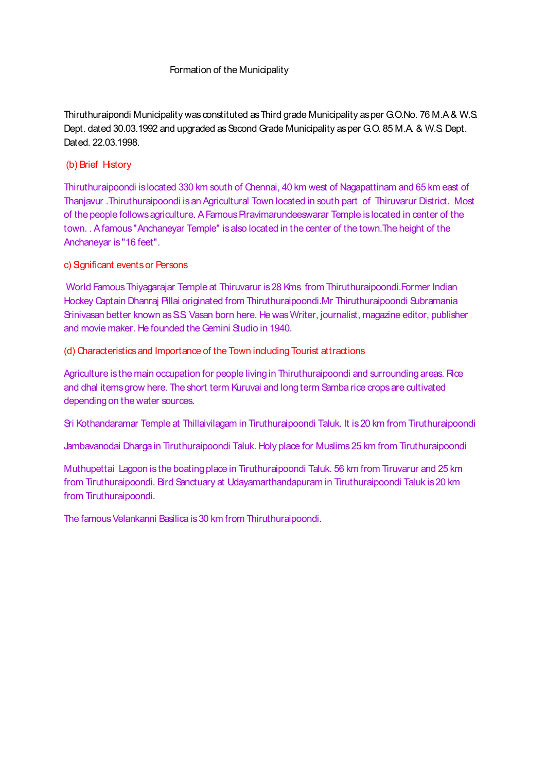#### Formation of the Municipality

Thiruthuraipondi Municipality was constituted as Third grade Municipality as per G.O.No. 76 M.A & W.S. Dept. dated 30.03.1992 and upgraded as Second Grade Municipality as per G.O. 85 M.A. & W.S. Dept. Dated. 22.03.1998.

### (b) Brief History

Thiruthuraipoondi is located 330 km south of Chennai, 40 km west of Nagapattinam and 65 km east of Thanjavur .Thiruthuraipoondi is an Agricultural Town located in south part of Thiruvarur District. Most of the people follows agriculture. A Famous Piravimarundeeswarar Temple is located in center of the town. . A famous "Anchaneyar Temple" is also located in the center of the town.The height of the Anchaneyar is "16 feet".

#### c) Significant events or Persons

World Famous Thiyagarajar Temple at Thiruvarur is 28 Kms from Thiruthuraipoondi.Former Indian Hockey Captain Dhanraj Pillai originated from Thiruthuraipoondi.Mr Thiruthuraipoondi Subramania Srinivasan better known as S.S. Vasan born here. He was Writer, journalist, magazine editor, publisher and movie maker. He founded the Gemini Studio in 1940.

#### (d) Characteristics and Importance of the Town including Tourist attractions

Agriculture is the main occupation for people living in Thiruthuraipoondi and surrounding areas. Rice and dhal items grow here. The short term Kuruvai and long term Samba rice crops are cultivated depending on the water sources.

Sri Kothandaramar Temple at Thillaivilagam in Tiruthuraipoondi Taluk. It is 20 km from Tiruthuraipoondi

Jambavanodai Dharga in Tiruthuraipoondi Taluk. Holy place for Muslims 25 km from Tiruthuraipoondi

Muthupettai Lagoon is the boating place in Tiruthuraipoondi Taluk. 56 km from Tiruvarur and 25 km from Tiruthuraipoondi. Bird Sanctuary at Udayamarthandapuram in Tiruthuraipoondi Taluk is 20 km from Tiruthuraipoondi.

The famous Velankanni Basilica is 30 km from Thiruthuraipoondi.